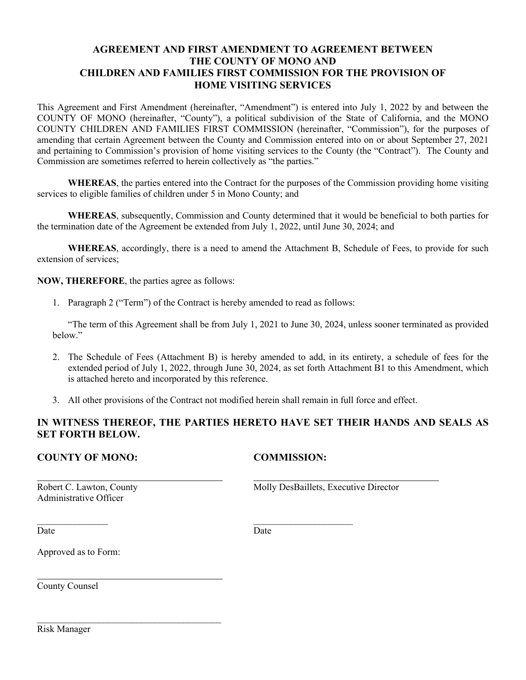# **AGREEMENT AND FIRST AMENDMENT TO AGREEMENT BETWEEN THE COUNTY OF MONO AND CHILDREN AND FAMILIES FIRST COMMISSION FOR THE PROVISION OF HOME VISITING SERVICES**

This Agreement and First Amendment (hereinafter, "Amendment") is entered into July 1, 2022 by and between the COUNTY OF MONO (hereinafter, "County"), a political subdivision of the State of California, and the MONO COUNTY CHILDREN AND FAMILIES FIRST COMMISSION (hereinafter, "Commission"), for the purposes of amending that certain Agreement between the County and Commission entered into on or about September 27, 2021 and pertaining to Commission's provision of home visiting services to the County (the "Contract"). The County and Commission are sometimes referred to herein collectively as "the parties."

**WHEREAS**, the parties entered into the Contract for the purposes of the Commission providing home visiting services to eligible families of children under 5 in Mono County; and

**WHEREAS**, subsequently, Commission and County determined that it would be beneficial to both parties for the termination date of the Agreement be extended from July 1, 2022, until June 30, 2024; and

**WHEREAS**, accordingly, there is a need to amend the Attachment B, Schedule of Fees, to provide for such extension of services;

### **NOW, THEREFORE**, the parties agree as follows:

1. Paragraph 2 ("Term") of the Contract is hereby amended to read as follows:

 $\mathcal{L}_\text{max}$  , we can also assume that  $\mathcal{L}_\text{max}$  , we can also assume that  $\mathcal{L}_\text{max}$ 

"The term of this Agreement shall be from July 1, 2021 to June 30, 2024, unless sooner terminated as provided below."

- 2. The Schedule of Fees (Attachment B) is hereby amended to add, in its entirety, a schedule of fees for the extended period of July 1, 2022, through June 30, 2024, as set forth Attachment B1 to this Amendment, which is attached hereto and incorporated by this reference.
- 3. All other provisions of the Contract not modified herein shall remain in full force and effect.

## **IN WITNESS THEREOF, THE PARTIES HERETO HAVE SET THEIR HANDS AND SEALS AS SET FORTH BELOW.**

### **COUNTY OF MONO: COMMISSION:**

Administrative Officer

Robert C. Lawton, County Molly DesBaillets, Executive Director

Date Date Date

Approved as to Form:

 $\mathcal{L}_\text{max}$  , where  $\mathcal{L}_\text{max}$  is the set of the set of the set of the set of the set of the set of the set of the set of the set of the set of the set of the set of the set of the set of the set of the set of the se

County Counsel

Risk Manager